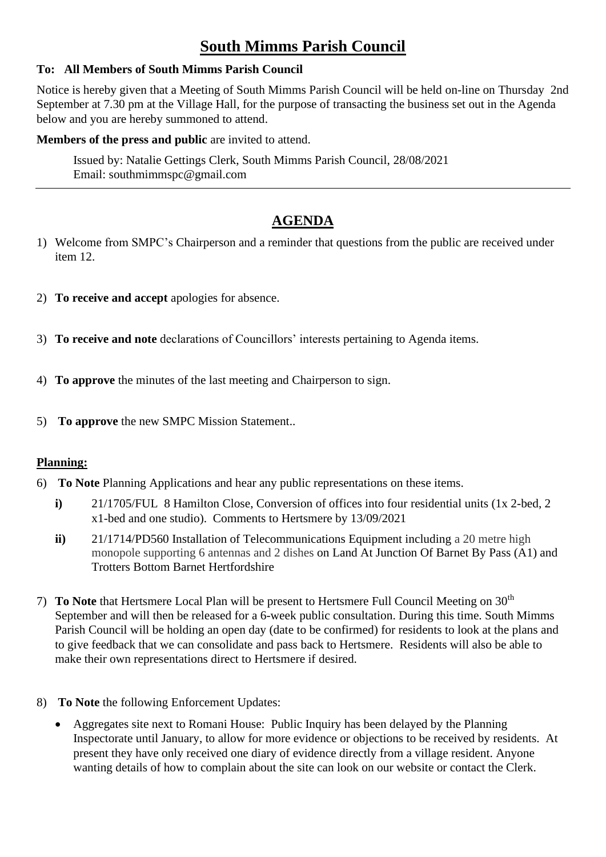# **South Mimms Parish Council**

#### **To: All Members of South Mimms Parish Council**

Notice is hereby given that a Meeting of South Mimms Parish Council will be held on-line on Thursday 2nd September at 7.30 pm at the Village Hall, for the purpose of transacting the business set out in the Agenda below and you are hereby summoned to attend.

#### **Members of the press and public are invited to attend.**

Issued by: Natalie Gettings Clerk, South Mimms Parish Council, 28/08/2021 Email: southmimmspc@gmail.com

### **AGENDA**

- 1) Welcome from SMPC's Chairperson and a reminder that questions from the public are received under item 12.
- 2) **To receive and accept** apologies for absence.
- 3) **To receive and note** declarations of Councillors' interests pertaining to Agenda items.
- 4) **To approve** the minutes of the last meeting and Chairperson to sign.
- 5) **To approve** the new SMPC Mission Statement..

#### **Planning:**

- 6) **To Note** Planning Applications and hear any public representations on these items.
	- **i)** 21/1705/FUL 8 Hamilton Close, Conversion of offices into four residential units (1x 2-bed, 2 x1-bed and one studio). Comments to Hertsmere by 13/09/2021
	- **ii)** 21/1714/PD560 Installation of Telecommunications Equipment including a 20 metre high monopole supporting 6 antennas and 2 dishes on Land At Junction Of Barnet By Pass (A1) and Trotters Bottom Barnet Hertfordshire
- 7) **To Note** that Hertsmere Local Plan will be present to Hertsmere Full Council Meeting on 30th September and will then be released for a 6-week public consultation. During this time. South Mimms Parish Council will be holding an open day (date to be confirmed) for residents to look at the plans and to give feedback that we can consolidate and pass back to Hertsmere. Residents will also be able to make their own representations direct to Hertsmere if desired.
- 8) **To Note** the following Enforcement Updates:
	- Aggregates site next to Romani House: Public Inquiry has been delayed by the Planning Inspectorate until January, to allow for more evidence or objections to be received by residents. At present they have only received one diary of evidence directly from a village resident. Anyone wanting details of how to complain about the site can look on our website or contact the Clerk.